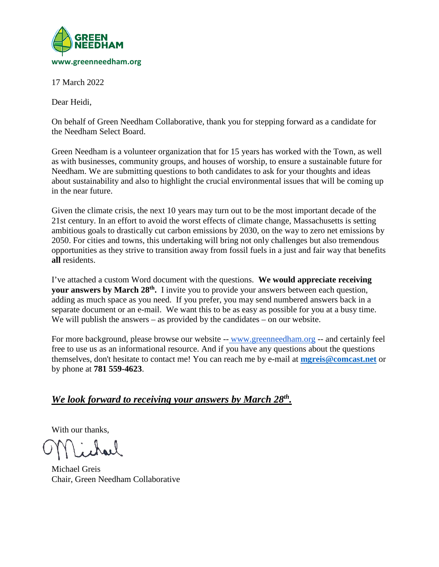

17 March 2022

Dear Heidi,

On behalf of Green Needham Collaborative, thank you for stepping forward as a candidate for the Needham Select Board.

Green Needham is a volunteer organization that for 15 years has worked with the Town, as well as with businesses, community groups, and houses of worship, to ensure a sustainable future for Needham. We are submitting questions to both candidates to ask for your thoughts and ideas about sustainability and also to highlight the crucial environmental issues that will be coming up in the near future.

Given the climate crisis, the next 10 years may turn out to be the most important decade of the 21st century. In an effort to avoid the worst effects of climate change, Massachusetts is setting ambitious goals to drastically cut carbon emissions by 2030, on the way to zero net emissions by 2050. For cities and towns, this undertaking will bring not only challenges but also tremendous opportunities as they strive to transition away from fossil fuels in a just and fair way that benefits **all** residents.

I've attached a custom Word document with the questions. **We would appreciate receiving your answers by March 28th.** I invite you to provide your answers between each question, adding as much space as you need. If you prefer, you may send numbered answers back in a separate document or an e-mail. We want this to be as easy as possible for you at a busy time. We will publish the answers – as provided by the candidates – on our website.

For more background, please browse our website -- [www.greenneedham.org](http://www.greenneedham.org/) -- and certainly feel free to use us as an informational resource. And if you have any questions about the questions themselves, don't hesitate to contact me! You can reach me by e-mail at **[mgreis@comcast.net](mailto:mgreis@comcast.net)** or by phone at **781 559-4623**.

## *We look forward to receiving your answers by March 28th.*

With our thanks,

Michael Greis Chair, Green Needham Collaborative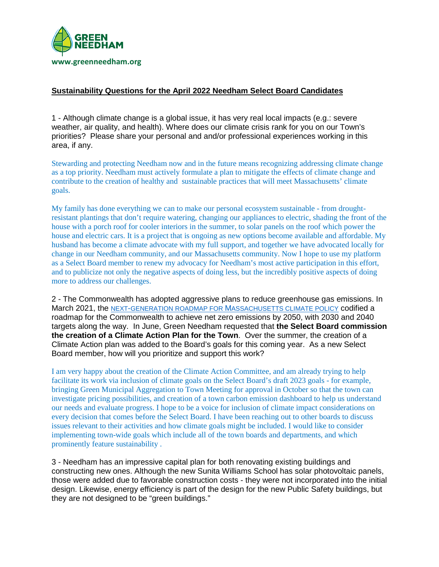

## **Sustainability Questions for the April 2022 Needham Select Board Candidates**

1 - Although climate change is a global issue, it has very real local impacts (e.g.: severe weather, air quality, and health). Where does our climate crisis rank for you on our Town's priorities? Please share your personal and and/or professional experiences working in this area, if any.

Stewarding and protecting Needham now and in the future means recognizing addressing climate change as a top priority. Needham must actively formulate a plan to mitigate the effects of climate change and contribute to the creation of healthy and sustainable practices that will meet Massachusetts' climate goals.

My family has done everything we can to make our personal ecosystem sustainable - from droughtresistant plantings that don't require watering, changing our appliances to electric, shading the front of the house with a porch roof for cooler interiors in the summer, to solar panels on the roof which power the house and electric cars. It is a project that is ongoing as new options become available and affordable. My husband has become a climate advocate with my full support, and together we have advocated locally for change in our Needham community, and our Massachusetts community. Now I hope to use my platform as a Select Board member to renew my advocacy for Needham's most active participation in this effort, and to publicize not only the negative aspects of doing less, but the incredibly positive aspects of doing more to address our challenges.

2 - The Commonwealth has adopted aggressive plans to reduce greenhouse gas emissions. In March 2021, the [NEXT-GENERATION ROADMAP FOR MASSACHUSETTS CLIMATE](https://malegislature.gov/Laws/SessionLaws/Acts/2021/Chapter8) POLICY codified a roadmap for the Commonwealth to achieve net zero emissions by 2050, with 2030 and 2040 targets along the way. In June, Green Needham requested that **the Select Board commission the creation of a Climate Action Plan for the Town**. Over the summer, the creation of a Climate Action plan was added to the Board's goals for this coming year. As a new Select Board member, how will you prioritize and support this work?

I am very happy about the creation of the Climate Action Committee, and am already trying to help facilitate its work via inclusion of climate goals on the Select Board's draft 2023 goals - for example, bringing Green Municipal Aggregation to Town Meeting for approval in October so that the town can investigate pricing possibilities, and creation of a town carbon emission dashboard to help us understand our needs and evaluate progress. I hope to be a voice for inclusion of climate impact considerations on every decision that comes before the Select Board. I have been reaching out to other boards to discuss issues relevant to their activities and how climate goals might be included. I would like to consider implementing town-wide goals which include all of the town boards and departments, and which prominently feature sustainability .

3 - Needham has an impressive capital plan for both renovating existing buildings and constructing new ones. Although the new Sunita Williams School has solar photovoltaic panels, those were added due to favorable construction costs - they were not incorporated into the initial design. Likewise, energy efficiency is part of the design for the new Public Safety buildings, but they are not designed to be "green buildings."